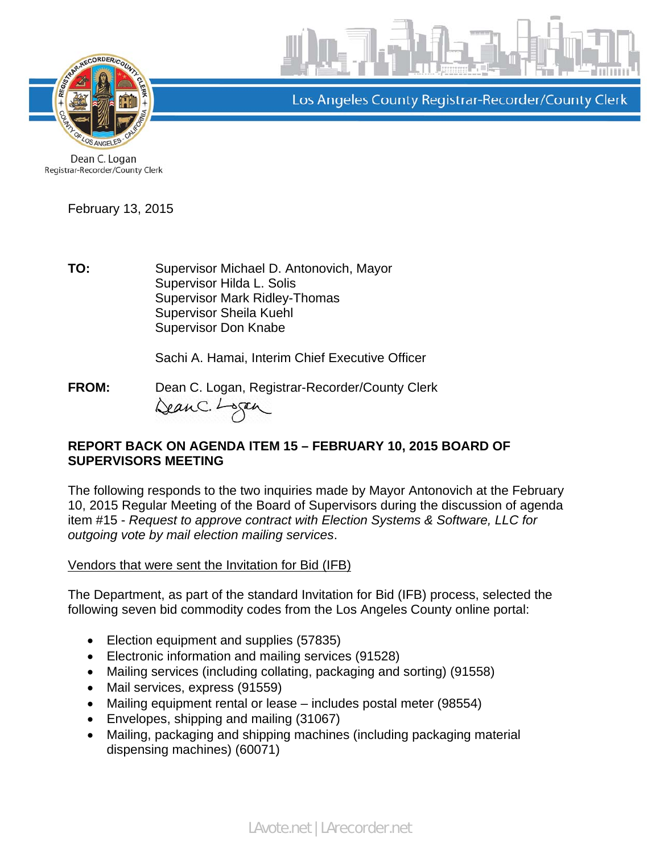

Los Angeles County Registrar-Recorder/County Clerk

Dean C. Logan Registrar-Recorder/County Clerk

February 13, 2015

TO: Supervisor Michael D. Antonovich, Mayor Supervisor Hilda L. Solis Supervisor Mark Ridley-Thomas Supervisor Sheila Kuehl Supervisor Don Knabe

Sachi A. Hamai, Interim Chief Executive Officer

**FROM:** Dean C. Logan, Registrar-Recorder/County Clerk DeanC. Logan

## **REPORT BACK ON AGENDA ITEM 15 – FEBRUARY 10, 2015 BOARD OF SUPERVISORS MEETING**

The following responds to the two inquiries made by Mayor Antonovich at the February 10, 2015 Regular Meeting of the Board of Supervisors during the discussion of agenda item #15 - *Request to approve contract with Election Systems & Software, LLC for outgoing vote by mail election mailing services*.

Vendors that were sent the Invitation for Bid (IFB)

The Department, as part of the standard Invitation for Bid (IFB) process, selected the following seven bid commodity codes from the Los Angeles County online portal:

- Election equipment and supplies (57835)
- Electronic information and mailing services (91528)
- Mailing services (including collating, packaging and sorting) (91558)
- Mail services, express (91559)
- Mailing equipment rental or lease includes postal meter (98554)
- Envelopes, shipping and mailing (31067)
- Mailing, packaging and shipping machines (including packaging material dispensing machines) (60071)